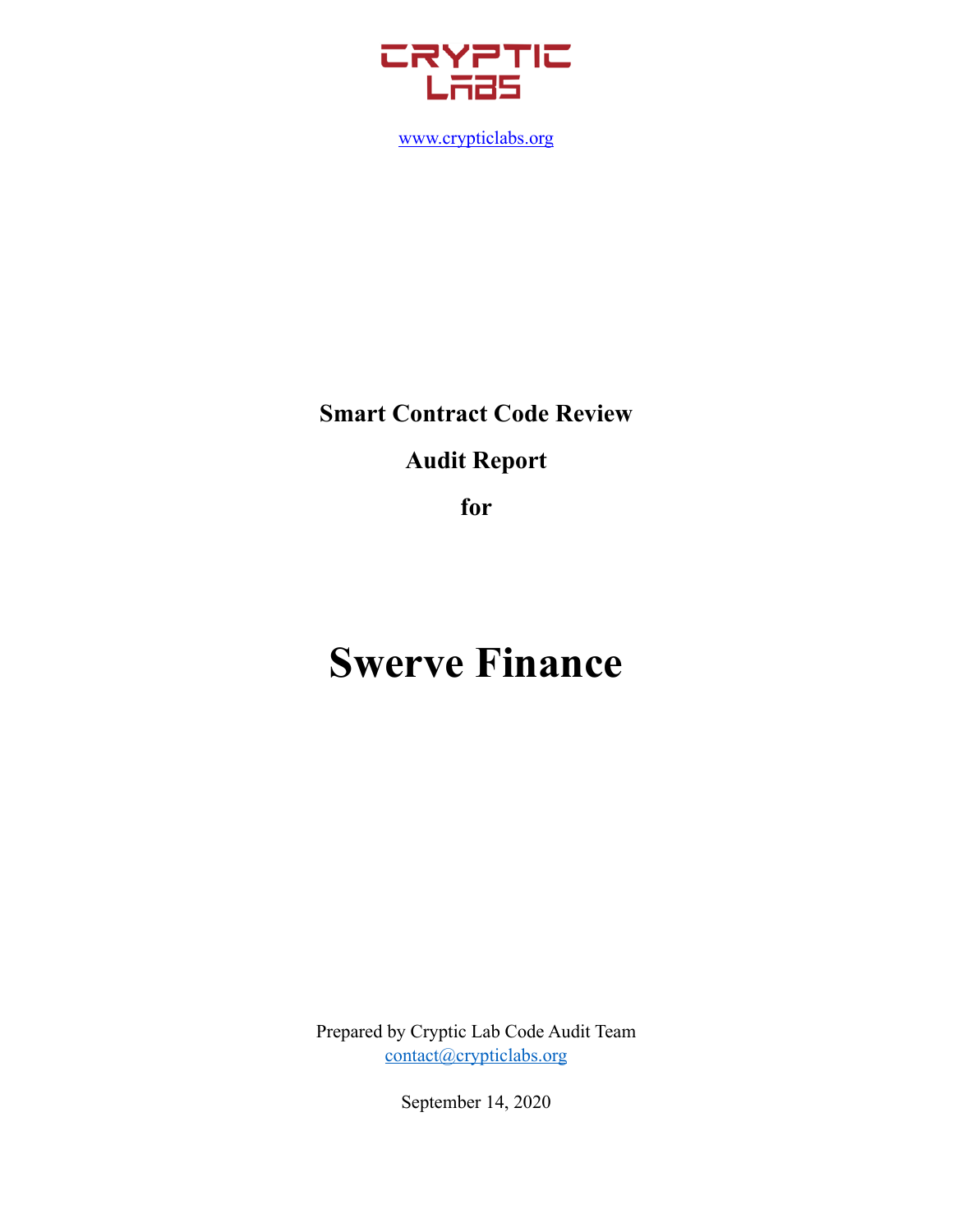

[www.crypticlabs.org](http://www.crypticlabs.org)

# **Smart Contract Code Review Audit Report**

**for** 

# **Swerve Finance**

Prepared by Cryptic Lab Code Audit Team [contact@crypticlabs.org](mailto:contact@crypticlabs.org)

September 14, 2020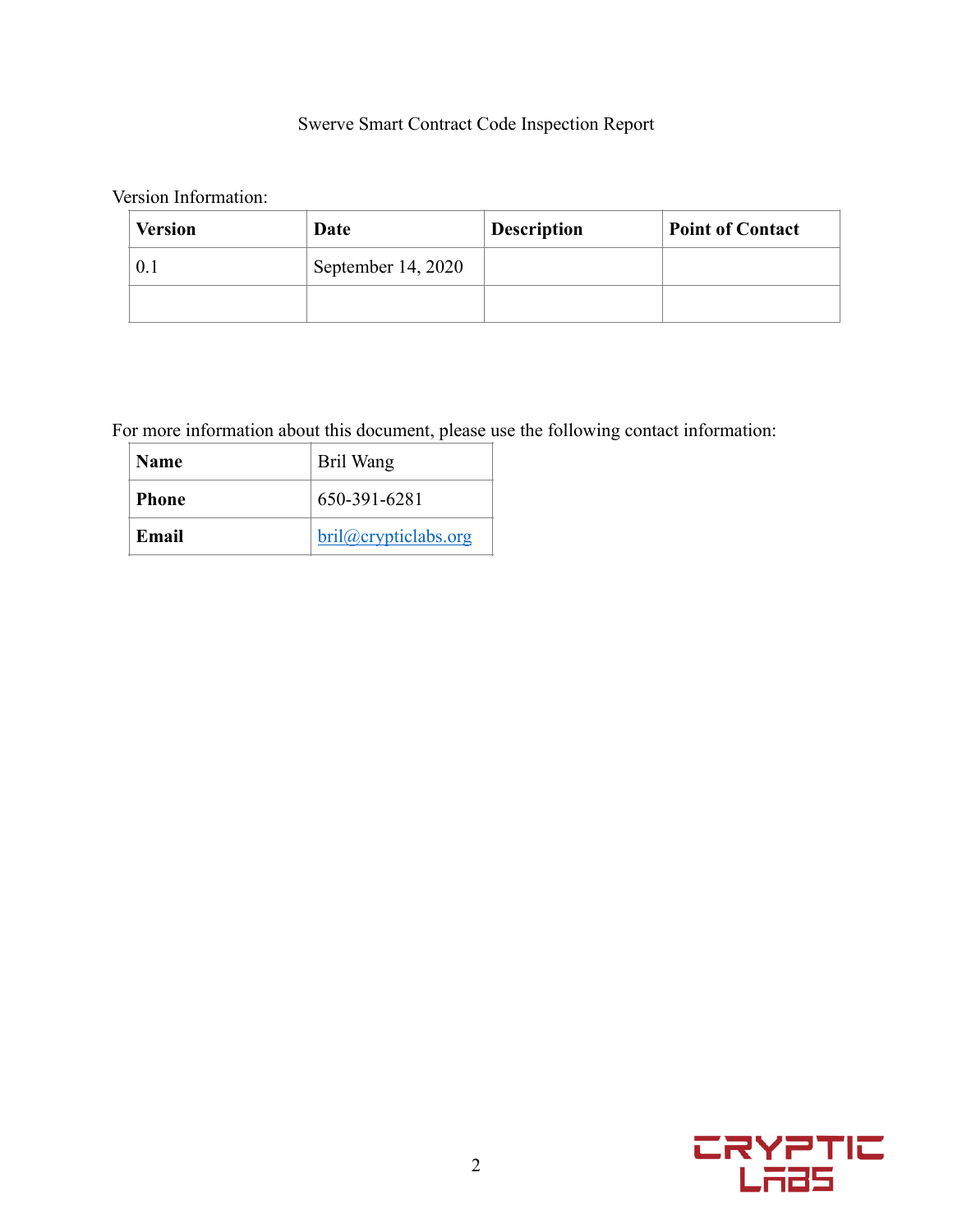# Swerve Smart Contract Code Inspection Report

Version Information:

| <b>Version</b> | Date                 | <b>Description</b> | <b>Point of Contact</b> |
|----------------|----------------------|--------------------|-------------------------|
| 0.1            | September $14, 2020$ |                    |                         |
|                |                      |                    |                         |

For more information about this document, please use the following contact information:

| <b>Name</b>  | Bril Wang           |
|--------------|---------------------|
| <b>Phone</b> | 650-391-6281        |
| Email        | bril@cryptidabs.org |

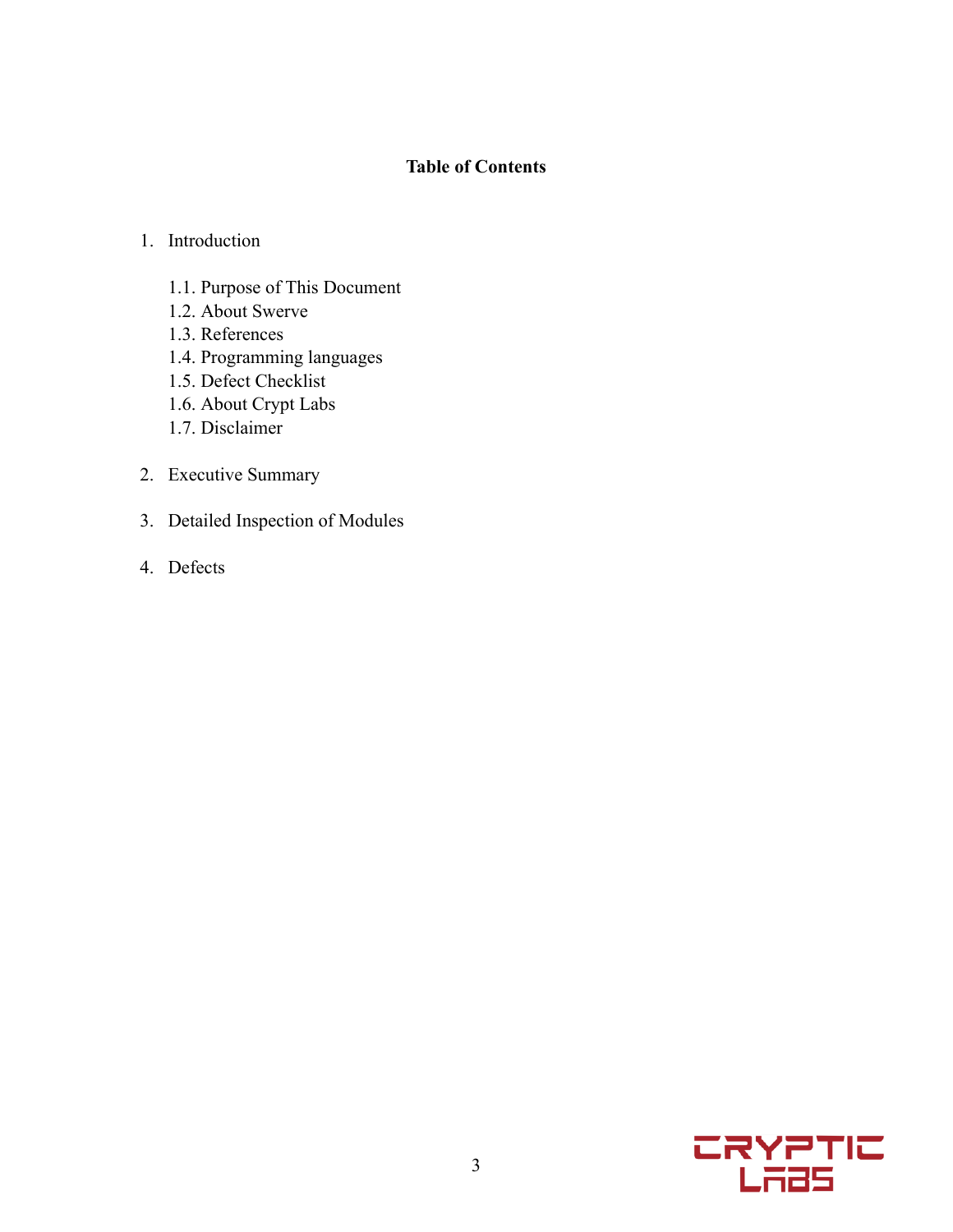# **Table of Contents**

# 1. Introduction

- 1.1. Purpose of This Document
- 1.2. About Swerve
- 1.3. References
- 1.4. Programming languages
- 1.5. Defect Checklist
- 1.6. About Crypt Labs
- 1.7. Disclaimer
- 2. Executive Summary
- 3. Detailed Inspection of Modules
- 4. Defects

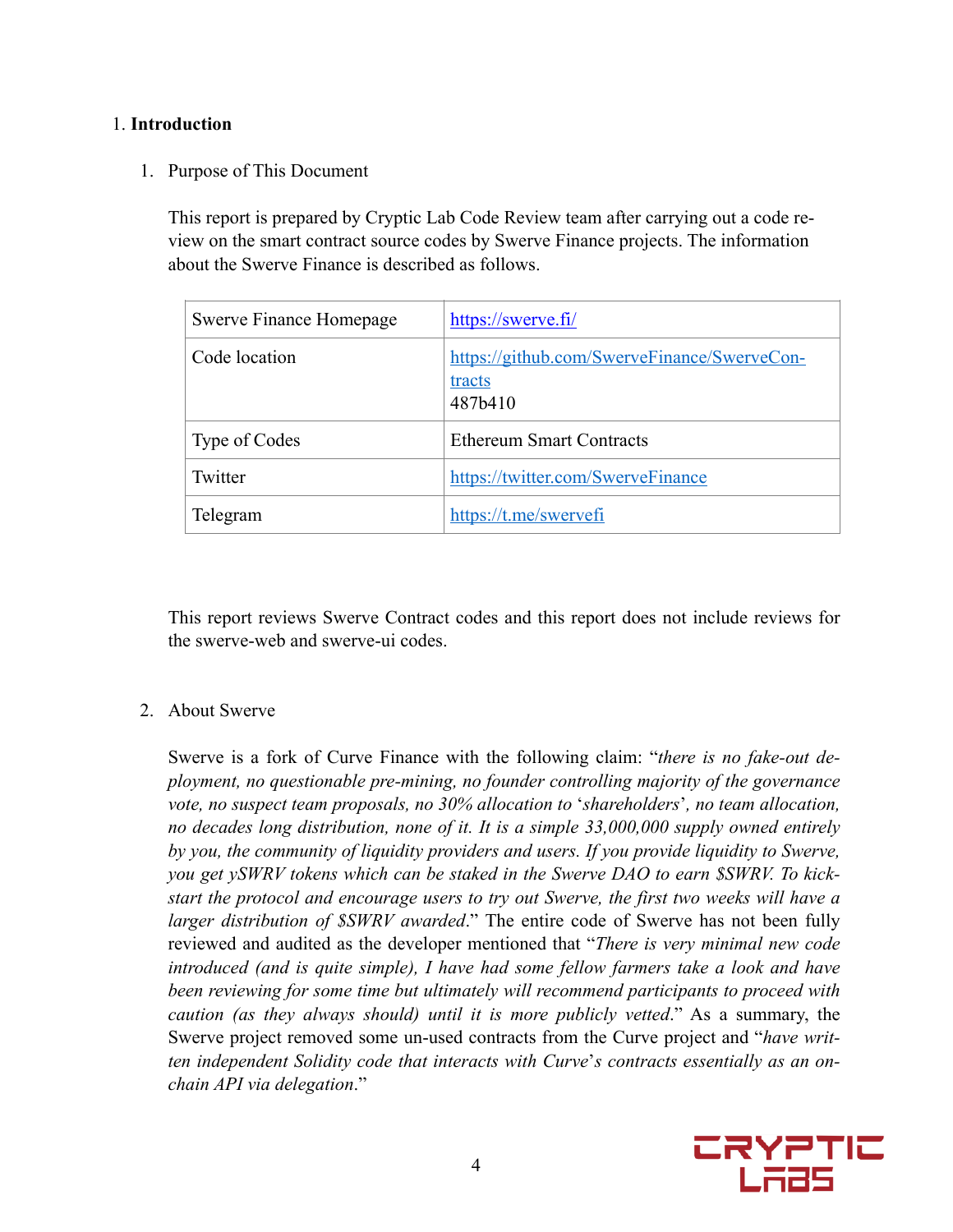## 1. **Introduction**

1. Purpose of This Document

This report is prepared by Cryptic Lab Code Review team after carrying out a code review on the smart contract source codes by Swerve Finance projects. The information about the Swerve Finance is described as follows.

| Swerve Finance Homepage | https://swerve.fi/                                               |
|-------------------------|------------------------------------------------------------------|
| Code location           | https://github.com/SwerveFinance/SwerveCon-<br>tracts<br>487b410 |
| Type of Codes           | <b>Ethereum Smart Contracts</b>                                  |
| Twitter                 | https://twitter.com/SwerveFinance                                |
| Telegram                | https://t.me/swervefi                                            |

This report reviews Swerve Contract codes and this report does not include reviews for the swerve-web and swerve-ui codes.

### 2. About Swerve

Swerve is a fork of Curve Finance with the following claim: "*there is no fake-out deployment, no questionable pre-mining, no founder controlling majority of the governance vote, no suspect team proposals, no 30% allocation to* '*shareholders*'*, no team allocation, no decades long distribution, none of it. It is a simple 33,000,000 supply owned entirely by you, the community of liquidity providers and users. If you provide liquidity to Swerve, you get ySWRV tokens which can be staked in the Swerve DAO to earn \$SWRV. To kickstart the protocol and encourage users to try out Swerve, the first two weeks will have a larger distribution of \$SWRV awarded*." The entire code of Swerve has not been fully reviewed and audited as the developer mentioned that "*There is very minimal new code introduced (and is quite simple), I have had some fellow farmers take a look and have been reviewing for some time but ultimately will recommend participants to proceed with caution (as they always should) until it is more publicly vetted*." As a summary, the Swerve project removed some un-used contracts from the Curve project and "*have written independent Solidity code that interacts with Curve*'*s contracts essentially as an onchain API via delegation*."

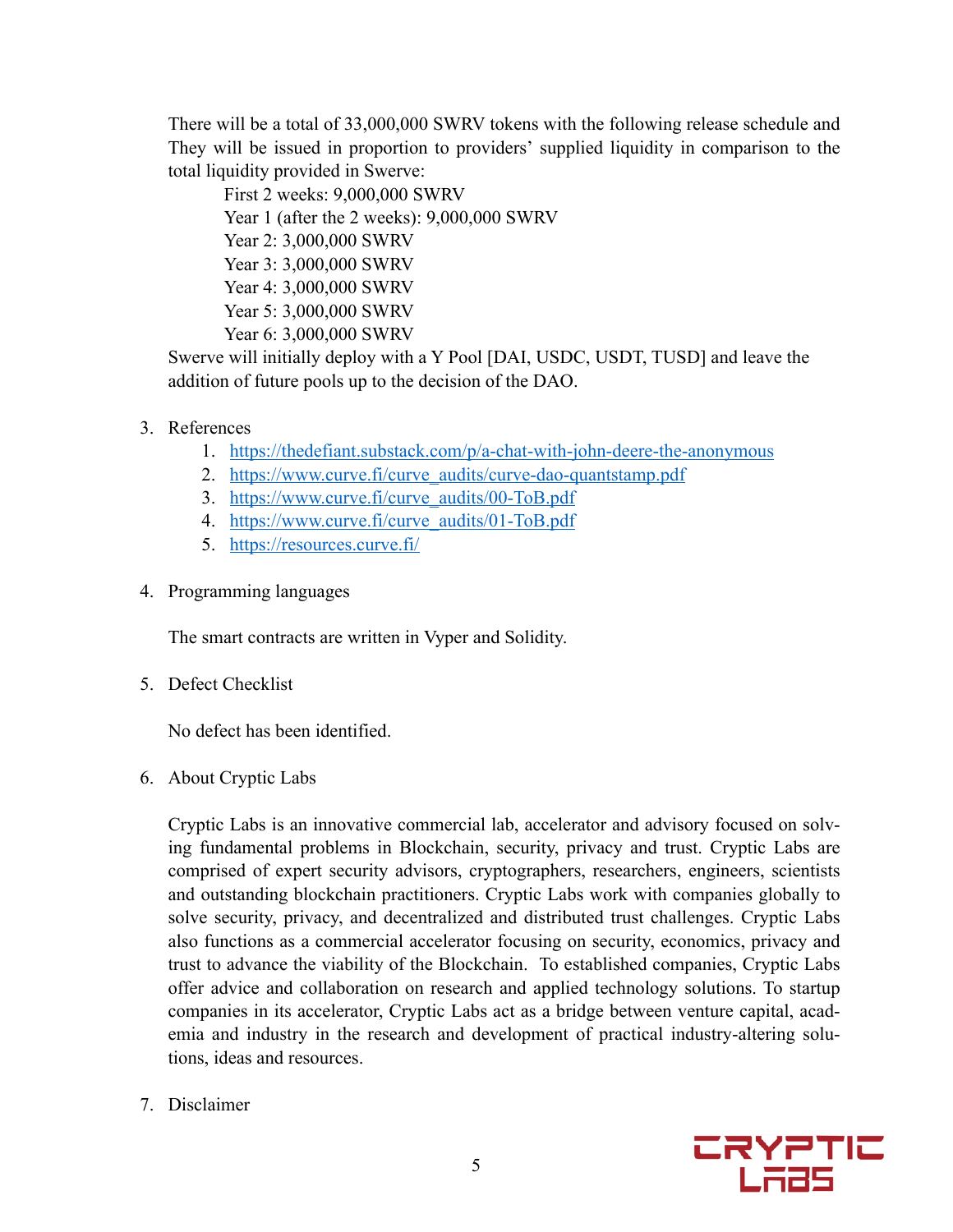There will be a total of 33,000,000 SWRV tokens with the following release schedule and They will be issued in proportion to providers' supplied liquidity in comparison to the total liquidity provided in Swerve:

First 2 weeks: 9,000,000 SWRV Year 1 (after the 2 weeks): 9,000,000 SWRV Year 2: 3,000,000 SWRV Year 3: 3,000,000 SWRV Year 4: 3,000,000 SWRV Year 5: 3,000,000 SWRV Year 6: 3,000,000 SWRV

Swerve will initially deploy with a Y Pool [DAI, USDC, USDT, TUSD] and leave the addition of future pools up to the decision of the DAO.

- 3. References
	- 1. <https://thedefiant.substack.com/p/a-chat-with-john-deere-the-anonymous>
	- 2. [https://www.curve.fi/curve\\_audits/curve-dao-quantstamp.pdf](https://www.curve.fi/curve_audits/curve-dao-quantstamp.pdf)
	- 3. [https://www.curve.fi/curve\\_audits/00-ToB.pdf](https://www.curve.fi/curve_audits/00-ToB.pdf)
	- 4. https://www.curve.fi/curve\_audits/01-ToB.pdf
	- 5. <https://resources.curve.fi/>
- 4. Programming languages

The smart contracts are written in Vyper and Solidity.

5. Defect Checklist

No defect has been identified.

6. About Cryptic Labs

Cryptic Labs is an innovative commercial lab, accelerator and advisory focused on solving fundamental problems in Blockchain, security, privacy and trust. Cryptic Labs are comprised of expert security advisors, cryptographers, researchers, engineers, scientists and outstanding blockchain practitioners. Cryptic Labs work with companies globally to solve security, privacy, and decentralized and distributed trust challenges. Cryptic Labs also functions as a commercial accelerator focusing on security, economics, privacy and trust to advance the viability of the Blockchain. To established companies, Cryptic Labs offer advice and collaboration on research and applied technology solutions. To startup companies in its accelerator, Cryptic Labs act as a bridge between venture capital, academia and industry in the research and development of practical industry-altering solutions, ideas and resources.

7. Disclaimer

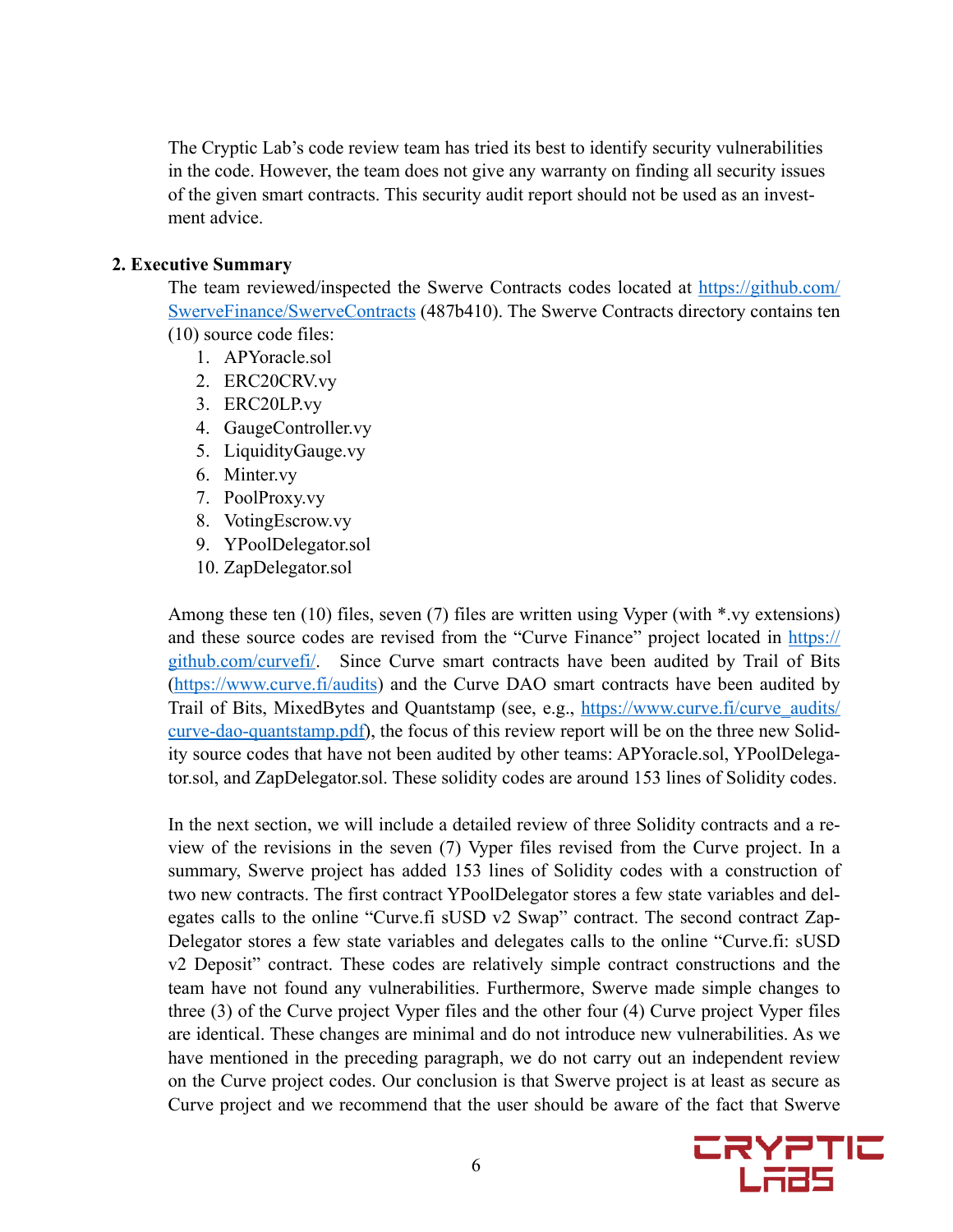The Cryptic Lab's code review team has tried its best to identify security vulnerabilities in the code. However, the team does not give any warranty on finding all security issues of the given smart contracts. This security audit report should not be used as an investment advice.

### **2. Executive Summary**

The team reviewed/inspected the Swerve Contracts codes located at [https://github.com/](https://github.com/SwerveFinance/SwerveContracts) [SwerveFinance/SwerveContracts](https://github.com/SwerveFinance/SwerveContracts) (487b410). The Swerve Contracts directory contains ten (10) source code files:

- 1. APYoracle.sol
- 2. ERC20CRV.vy
- 3. ERC20LP.vy
- 4. GaugeController.vy
- 5. LiquidityGauge.vy
- 6. Minter.vy
- 7. PoolProxy.vy
- 8. VotingEscrow.vy
- 9. YPoolDelegator.sol
- 10. ZapDelegator.sol

Among these ten (10) files, seven (7) files are written using Vyper (with \*.vy extensions) and these source codes are revised from the "Curve Finance" project located in [https://](https://github.com/curvefi/) [github.com/curvefi/.](https://github.com/curvefi/) Since Curve smart contracts have been audited by Trail of Bits ([https://www.curve.fi/audits\)](https://www.curve.fi/audits) and the Curve DAO smart contracts have been audited by Trail of Bits, MixedBytes and Quantstamp (see, e.g., [https://www.curve.fi/curve\\_audits/](https://www.curve.fi/curve_audits/curve-dao-quantstamp.pdf) [curve-dao-quantstamp.pdf](https://www.curve.fi/curve_audits/curve-dao-quantstamp.pdf)), the focus of this review report will be on the three new Solidity source codes that have not been audited by other teams: APYoracle.sol, YPoolDelegator.sol, and ZapDelegator.sol. These solidity codes are around 153 lines of Solidity codes.

In the next section, we will include a detailed review of three Solidity contracts and a review of the revisions in the seven (7) Vyper files revised from the Curve project. In a summary, Swerve project has added 153 lines of Solidity codes with a construction of two new contracts. The first contract YPoolDelegator stores a few state variables and delegates calls to the online "Curve.fi sUSD v2 Swap" contract. The second contract Zap-Delegator stores a few state variables and delegates calls to the online "Curve.fi: sUSD v2 Deposit" contract. These codes are relatively simple contract constructions and the team have not found any vulnerabilities. Furthermore, Swerve made simple changes to three (3) of the Curve project Vyper files and the other four (4) Curve project Vyper files are identical. These changes are minimal and do not introduce new vulnerabilities. As we have mentioned in the preceding paragraph, we do not carry out an independent review on the Curve project codes. Our conclusion is that Swerve project is at least as secure as Curve project and we recommend that the user should be aware of the fact that Swerve

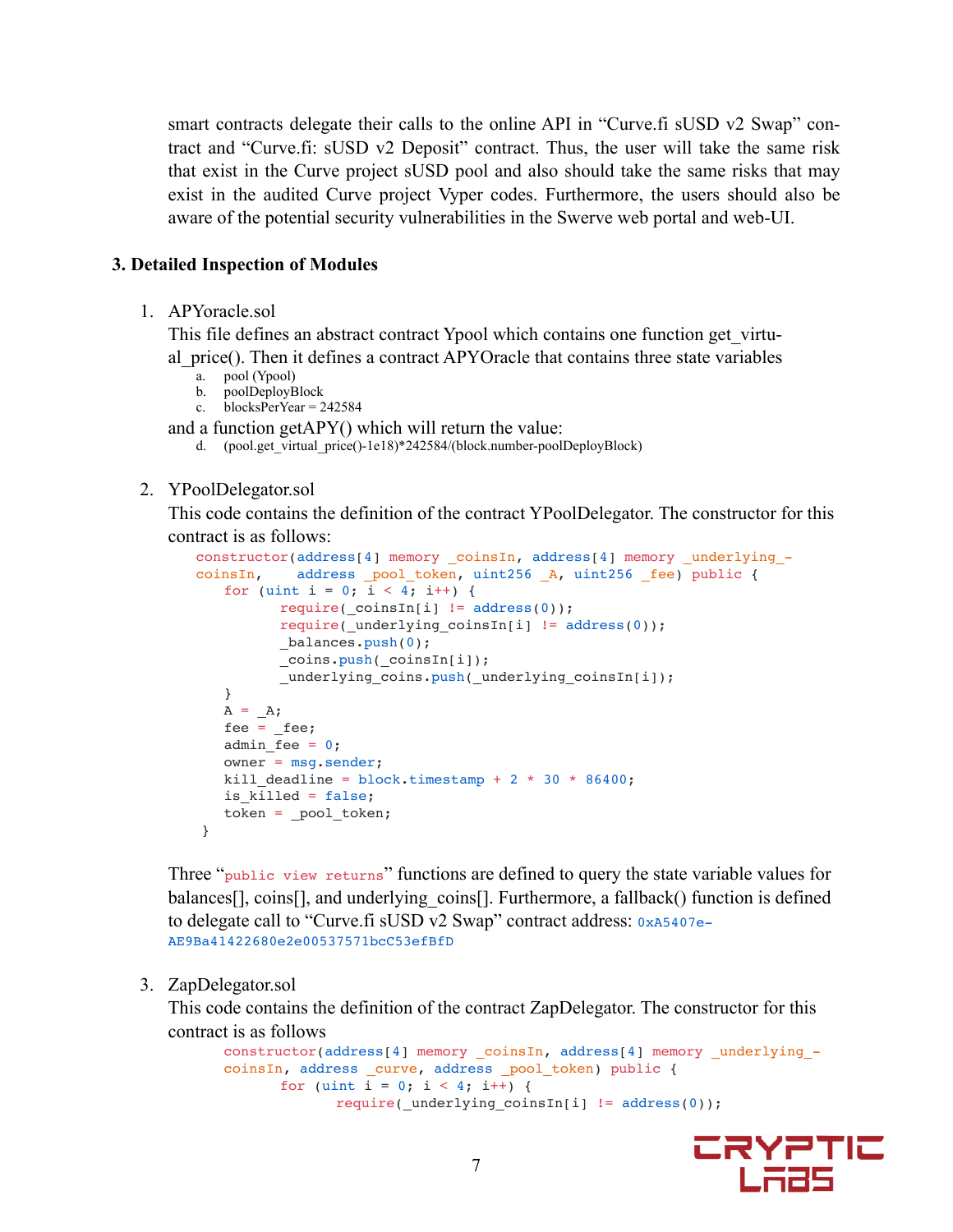smart contracts delegate their calls to the online API in "Curve.fi sUSD v2 Swap" contract and "Curve.fi: sUSD v2 Deposit" contract. Thus, the user will take the same risk that exist in the Curve project sUSD pool and also should take the same risks that may exist in the audited Curve project Vyper codes. Furthermore, the users should also be aware of the potential security vulnerabilities in the Swerve web portal and web-UI.

#### **3. Detailed Inspection of Modules**

1. APYoracle.sol

This file defines an abstract contract Ypool which contains one function get\_virtual\_price(). Then it defines a contract APYOracle that contains three state variables  $a_{n}$  pool (Ypool)

- 
- b. poolDeployBlock
- c. blocksPerYear =  $242584$

and a function getAPY() which will return the value:

d. (pool.get\_virtual\_price()-1e18)\*242584/(block.number-poolDeployBlock)

#### 2. YPoolDelegator.sol

This code contains the definition of the contract YPoolDelegator. The constructor for this contract is as follows:

```
constructor(address[4] memory _coinsIn, address[4] memory underlying -
coinsIn, address _pool_token, uint256 _A, uint256 _fee) public {
   for (uint i = 0; i < 4; i++) {
          require(\text{coinsIn[i]} := \text{address}(0));
          require(_underlying_coinsIn[i] != address(0));
          _balances.push(0);
          _coins.push(_coinsIn[i]);
          _underlying_coins.push(_underlying_coinsIn[i]);
    }
   A = A;fee = fee;admin fee = 0; owner = msg.sender;
   kill deadline = block.timestamp + 2 * 30 * 86400;
   is killed = false;
   token = pool token; }
```
Three "public view returns" functions are defined to query the state variable values for balances[], coins[], and underlying coins[]. Furthermore, a fallback() function is defined to delegate call to "Curve.fi sUSD v2 Swap" contract address: 0xA5407e-AE9Ba41422680e2e00537571bcC53efBfD

#### 3. ZapDelegator.sol

This code contains the definition of the contract ZapDelegator. The constructor for this contract is as follows

```
constructor(address[4] memory _coinsIn, address[4] memory _underlying_-
coinsIn, address _curve, address _pool_token) public {
      for (uint i = 0; i < 4; i++) {
             require( underlying coinsIn[i] != address(0));
```
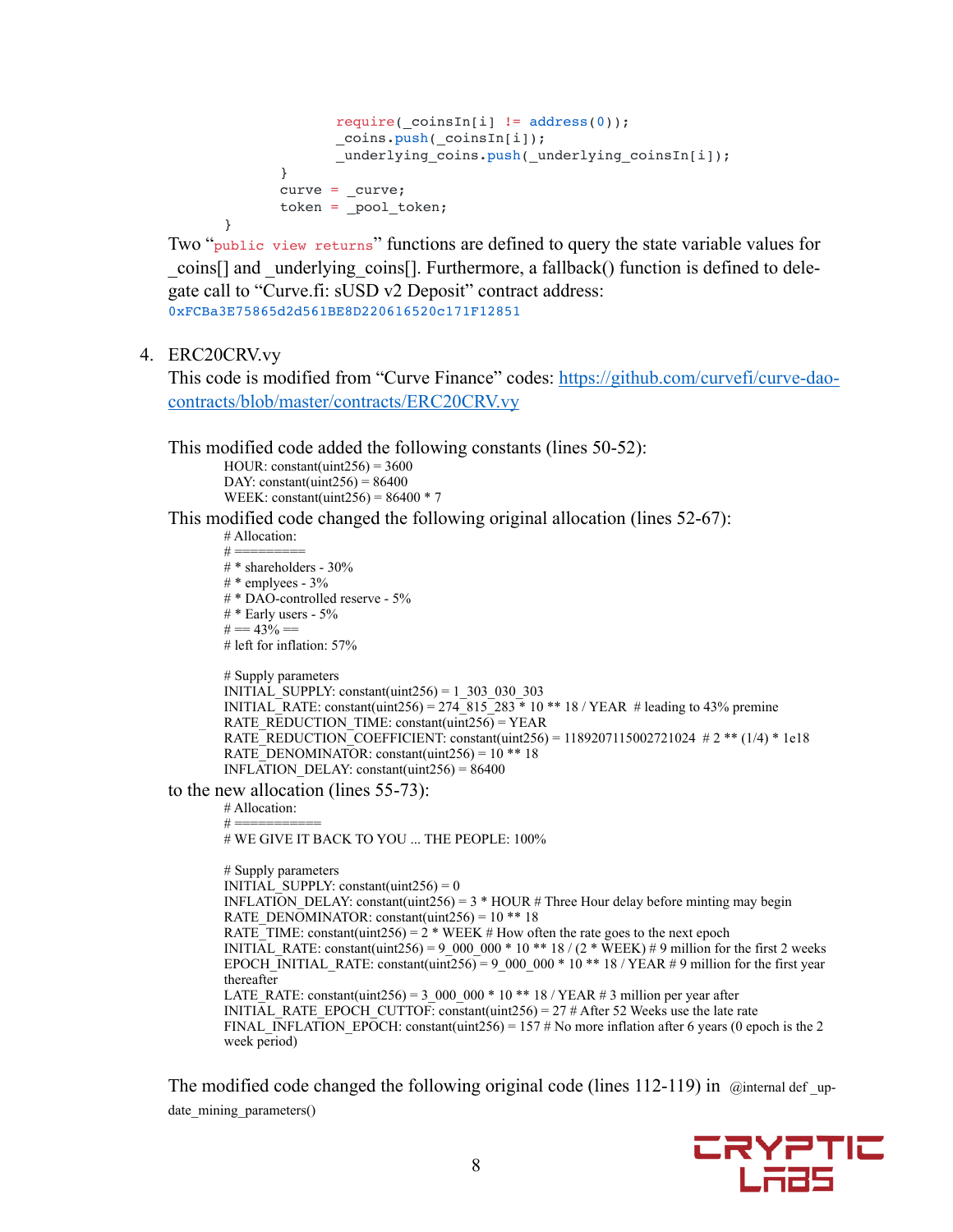```
require( coinsIn[i] != address(0));
      coins.push(coinsIn[i]);underlying coins.push( underlying coinsIn[i]);
}
curve = curve;token = pool token;
```

```
}
```
Two "public view returns" functions are defined to query the state variable values for \_coins[] and \_underlying\_coins[]. Furthermore, a fallback() function is defined to delegate call to "Curve.fi: sUSD v2 Deposit" contract address: 0xFCBa3E75865d2d561BE8D220616520c171F12851

#### 4. ERC20CRV.vy

This code is modified from "Curve Finance" codes: [https://github.com/curvefi/curve-dao](https://github.com/curvefi/curve-dao-contracts/blob/master/contracts/ERC20CRV.vy)[contracts/blob/master/contracts/ERC20CRV.vy](https://github.com/curvefi/curve-dao-contracts/blob/master/contracts/ERC20CRV.vy) 

This modified code added the following constants (lines 50-52):

HOUR: constant(uint $256$ ) = 3600 DAY: constant(uint256) =  $86400$ WEEK: constant(uint256) =  $86400 * 7$ 

This modified code changed the following original allocation (lines 52-67):

```
# Allocation: 
        # =# * shareholders - 30% 
        #* emplyees - 3%
        # * DAO-controlled reserve - 5% 
        # * Early users - 5%
        # == 43\% ==# left for inflation: 57% 
        # Supply parameters 
        INITIAL SUPPLY: constant(uint256) = 1_303_030_303
         INITIAL_RATE: constant(uint256) = 274-815<sup>-283</sup> * 10 ** 18 / YEAR # leading to 43% premine
         RATE_REDUCTION_TIME: constant(uint256) = YEAR
        RATE_REDUCTION_COEFFICIENT: constant(uint256) = 1189207115002721024 # 2 ** (1/4) * 1e18
        RATE DENOMINATOR: constant(uint256) = 10 ** 18
        INFLATION_DELAY: constant(uint256) = 86400 
to the new allocation (lines 55-73): 
        # Allocation: 
        # =# WE GIVE IT BACK TO YOU ... THE PEOPLE: 100% 
        # Supply parameters 
        INITIAL SUPPLY: constant(uint256) = 0
        INFLATION DELAY: constant(uint256) = 3 * HOUR # Three Hour delay before minting may begin
        RATE_DENOMINATOR: constant(uint256) = 10 ** 18
        RATE_TIME: constant(uint256) = 2 * WEEK # How often the rate goes to the next epochINITIAL RATE: constant(uint256) = 9_000_000 * 10 ** 18 / (2 * WEEK) # 9 million for the first 2 weeks
        EPOCH_INITIAL_RATE: constant(uint256) = 9_000_000 * 10 ** 18 / YEAR # 9 million for the first year
         thereafter 
         LATE_RATE: constant(uint256) = 3_000_000 * 10 ** 18 / YEAR # 3 million per year after
         INITIAL RATE EPOCH CUTTOF: constant(uint256) = 27 # After 52 Weeks use the late rate
        FINAL_INFLATION_EPOCH: constant(uint256) = 157 # No more inflation after 6 years (0 epoch is the 2
```
The modified code changed the following original code (lines  $112-119$ ) in @internal def up-

date\_mining\_parameters()

week period)

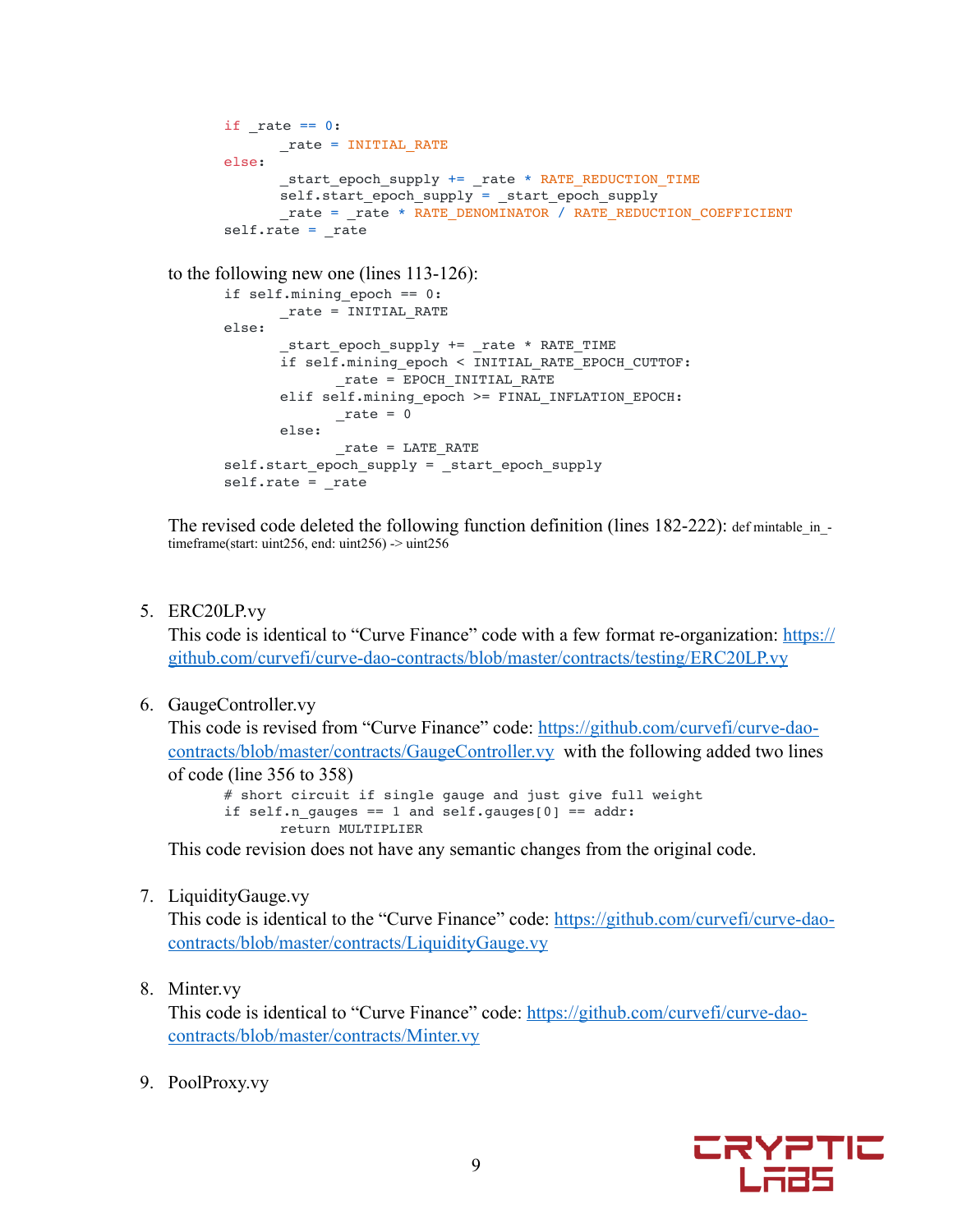```
if rate == 0:_rate = INITIAL_RATE
else:
      _start_epoch_supply += _rate * RATE_REDUCTION_TIME
      self.start_epoch_supply = _start_epoch_supply
      rate = rate * RATE_DENOMINATOR / RATE_REDUCTION_COEFFICIENT
self.rate = rate
```
to the following new one (lines 113-126):

```
if self.mining_epoch == 0:
      rate =INITIAL RATE
else:
       _start_epoch_supply += _rate * RATE_TIME
      if self.mining epoch < INITIAL RATE EPOCH CUTTOF:
            rate = EPOCH INITIAL RATEelif self.mining epoch >= FINAL INFLATION EPOCH:
            _rate = 0else:
            _rate = LATE_RATE
self.start epoch supply = start epoch supply
self.rate = rate
```
The revised code deleted the following function definition (lines  $182-222$ ): defininable in timeframe(start: uint256, end: uint256) -> uint256

5. ERC20LP.vy

This code is identical to "Curve Finance" code with a few format re-organization: [https://](https://github.com/curvefi/curve-dao-contracts/blob/master/contracts/testing/ERC20LP.vy) [github.com/curvefi/curve-dao-contracts/blob/master/contracts/testing/ERC20LP.vy](https://github.com/curvefi/curve-dao-contracts/blob/master/contracts/testing/ERC20LP.vy) 

6. GaugeController.vy

This code is revised from "Curve Finance" code: [https://github.com/curvefi/curve-dao](https://github.com/curvefi/curve-dao-contracts/blob/master/contracts/GaugeController.vy)[contracts/blob/master/contracts/GaugeController.vy](https://github.com/curvefi/curve-dao-contracts/blob/master/contracts/GaugeController.vy) with the following added two lines of code (line 356 to 358) # short circuit if single gauge and just give full weight

if self.n\_gauges == 1 and self.gauges[0] ==  $addr:$ return MULTIPLIER

This code revision does not have any semantic changes from the original code.

7. LiquidityGauge.vy

This code is identical to the "Curve Finance" code: [https://github.com/curvefi/curve-dao](https://github.com/curvefi/curve-dao-contracts/blob/master/contracts/LiquidityGauge.vy)[contracts/blob/master/contracts/LiquidityGauge.vy](https://github.com/curvefi/curve-dao-contracts/blob/master/contracts/LiquidityGauge.vy)

8. Minter.vy

This code is identical to "Curve Finance" code: [https://github.com/curvefi/curve-dao](https://github.com/curvefi/curve-dao-contracts/blob/master/contracts/Minter.vy)[contracts/blob/master/contracts/Minter.vy](https://github.com/curvefi/curve-dao-contracts/blob/master/contracts/Minter.vy)

9. PoolProxy.vy